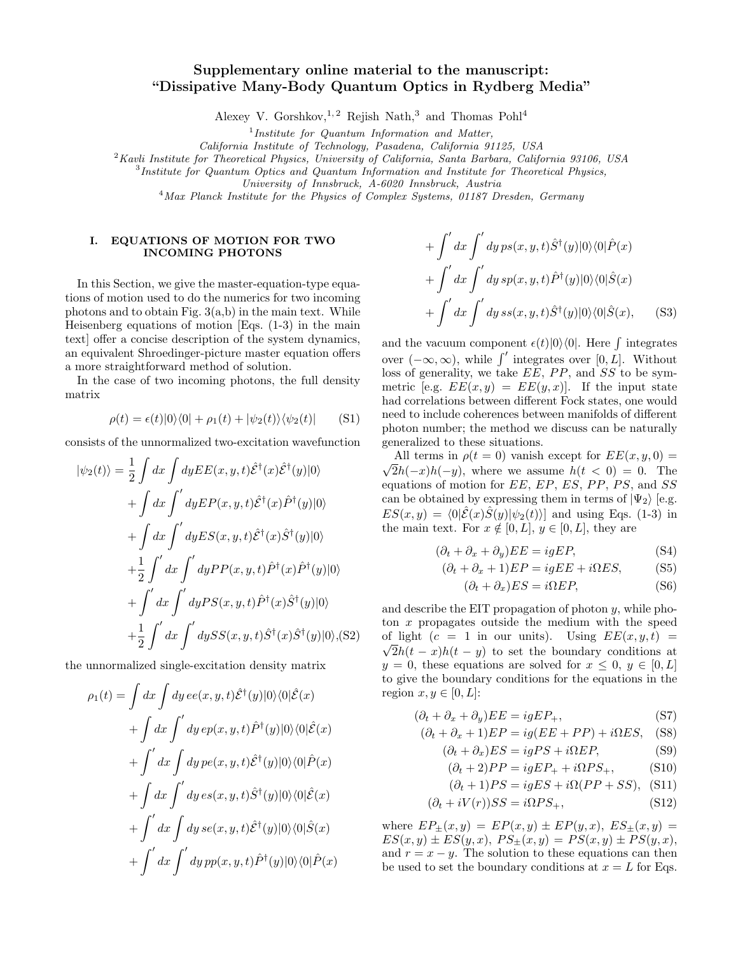# Supplementary online material to the manuscript: "Dissipative Many-Body Quantum Optics in Rydberg Media"

Alexey V. Gorshkov,<sup>1,2</sup> Rejish Nath,<sup>3</sup> and Thomas Pohl<sup>4</sup>

<sup>1</sup>Institute for Quantum Information and Matter,

California Institute of Technology, Pasadena, California 91125, USA

 $2$ Kavli Institute for Theoretical Physics, University of California, Santa Barbara, California 93106, USA

<sup>3</sup>Institute for Quantum Optics and Quantum Information and Institute for Theoretical Physics,

University of Innsbruck, A-6020 Innsbruck, Austria

<sup>4</sup>Max Planck Institute for the Physics of Complex Systems, 01187 Dresden, Germany

## I. EQUATIONS OF MOTION FOR TWO INCOMING PHOTONS

In this Section, we give the master-equation-type equations of motion used to do the numerics for two incoming photons and to obtain Fig.  $3(a,b)$  in the main text. While Heisenberg equations of motion [Eqs. (1-3) in the main text] offer a concise description of the system dynamics, an equivalent Shroedinger-picture master equation offers a more straightforward method of solution.

In the case of two incoming photons, the full density matrix

$$
\rho(t) = \epsilon(t)|0\rangle\langle 0| + \rho_1(t) + |\psi_2(t)\rangle\langle \psi_2(t)|
$$
 (S1)

consists of the unnormalized two-excitation wavefunction

$$
|\psi_2(t)\rangle = \frac{1}{2} \int dx \int dy E E(x, y, t) \hat{\mathcal{E}}^{\dagger}(x) \hat{\mathcal{E}}^{\dagger}(y) |0\rangle
$$
  
+ 
$$
\int dx \int' dy E P(x, y, t) \hat{\mathcal{E}}^{\dagger}(x) \hat{P}^{\dagger}(y) |0\rangle
$$
  
+ 
$$
\int dx \int' dy E S(x, y, t) \hat{\mathcal{E}}^{\dagger}(x) \hat{S}^{\dagger}(y) |0\rangle
$$
  
+ 
$$
\frac{1}{2} \int' dx \int' dy P P(x, y, t) \hat{P}^{\dagger}(x) \hat{P}^{\dagger}(y) |0\rangle
$$
  
+ 
$$
\int' dx \int' dy P S(x, y, t) \hat{P}^{\dagger}(x) \hat{S}^{\dagger}(y) |0\rangle
$$
  
+ 
$$
\frac{1}{2} \int' dx \int' dy S S(x, y, t) \hat{S}^{\dagger}(x) \hat{S}^{\dagger}(y) |0\rangle, (S2)
$$

the unnormalized single-excitation density matrix

$$
\rho_1(t) = \int dx \int dy \, ee(x, y, t) \hat{\mathcal{E}}^{\dagger}(y) |0\rangle\langle0| \hat{\mathcal{E}}(x)
$$
  
+ 
$$
\int dx \int' dy \, ep(x, y, t) \hat{P}^{\dagger}(y) |0\rangle\langle0| \hat{\mathcal{E}}(x)
$$
  
+ 
$$
\int' dx \int dy \, pe(x, y, t) \hat{\mathcal{E}}^{\dagger}(y) |0\rangle\langle0| \hat{P}(x)
$$
  
+ 
$$
\int dx \int' dy \, es(x, y, t) \hat{S}^{\dagger}(y) |0\rangle\langle0| \hat{\mathcal{E}}(x)
$$
  
+ 
$$
\int' dx \int dy \, se(x, y, t) \hat{\mathcal{E}}^{\dagger}(y) |0\rangle\langle0| \hat{S}(x)
$$
  
+ 
$$
\int' dx \int' dy \, pp(x, y, t) \hat{P}^{\dagger}(y) |0\rangle\langle0| \hat{P}(x)
$$

$$
+\int' dx \int' dy \, ps(x, y, t)\hat{S}^{\dagger}(y)|0\rangle\langle0|\hat{P}(x) + \int' dx \int' dy \, sp(x, y, t)\hat{P}^{\dagger}(y)|0\rangle\langle0|\hat{S}(x) + \int' dx \int' dy \, ss(x, y, t)\hat{S}^{\dagger}(y)|0\rangle\langle0|\hat{S}(x), \quad (S3)
$$

and the vacuum component  $\epsilon(t)|0\rangle\langle0|$ . Here f integrates over  $(-\infty, \infty)$ , while  $\int'$  integrates over [0, L]. Without loss of generality, we take  $\overline{EE}$ , PP, and  $\overline{SS}$  to be symmetric [e.g.  $EE(x, y) = EE(y, x)$ ]. If the input state had correlations between different Fock states, one would need to include coherences between manifolds of different photon number; the method we discuss can be naturally generalized to these situations.

All terms in  $\rho(t=0)$  vanish except for  $EE(x, y, 0) =$ √  $2h(-x)h(-y)$ , where we assume  $h(t < 0) = 0$ . The equations of motion for  $EE$ ,  $EP$ ,  $ES$ ,  $PP$ ,  $PS$ , and  $SS$ can be obtained by expressing them in terms of  $|\Psi_2\rangle$  [e.g.  $ES(x, y) = \langle 0|\hat{E}(x)\hat{S}(y)|\psi_2(t)\rangle$  and using Eqs. (1-3) in the main text. For  $x \notin [0, L], y \in [0, L],$  they are

<span id="page-0-0"></span>
$$
(\partial_t + \partial_x + \partial_y) EE = igEP,
$$
 (S4)

$$
(\partial_t + \partial_x + 1)EP = igEE + i\Omega ES, \tag{S5}
$$

$$
(\partial_t + \partial_x) ES = i\Omega EP,\tag{S6}
$$

and describe the EIT propagation of photon  $y$ , while photon x propagates outside the medium with the speed of light  $(c = 1 \text{ in our units})$ . Using  $EE(x, y, t) =$  $\sqrt{2}h(t-x)h(t-y)$  to set the boundary conditions at  $y = 0$ , these equations are solved for  $x \leq 0, y \in [0, L]$ to give the boundary conditions for the equations in the region  $x, y \in [0, L]$ :

<span id="page-0-1"></span>
$$
(\partial_t + \partial_x + \partial_y) EE = igEP_+, \tag{S7}
$$

$$
(\partial_t + \partial_x + 1)EP = ig(EE + PP) + i0ES, \quad (S8)
$$

$$
(\partial_t + \partial_x) ES = igPS + i\Omega EP,
$$
 (S9)

$$
(\partial_t + 2)PP = igEP_+ + i\Omega PS_+, \qquad (S10)
$$

$$
(\partial_t + 1)PS = igES + i\Omega(PP + SS), \text{(S11)}
$$

$$
(\partial_t + iV(r))SS = i\Omega PS_+, \tag{S12}
$$

where  $EP_{\pm}(x, y) = EP(x, y) \pm EP(y, x), ES_{\pm}(x, y) =$  $ES(x, y) \pm ES(y, x), PS_{\pm}(x, y) = PS(x, y) \pm PS(y, x),$ and  $r = x - y$ . The solution to these equations can then be used to set the boundary conditions at  $x = L$  for Eqs.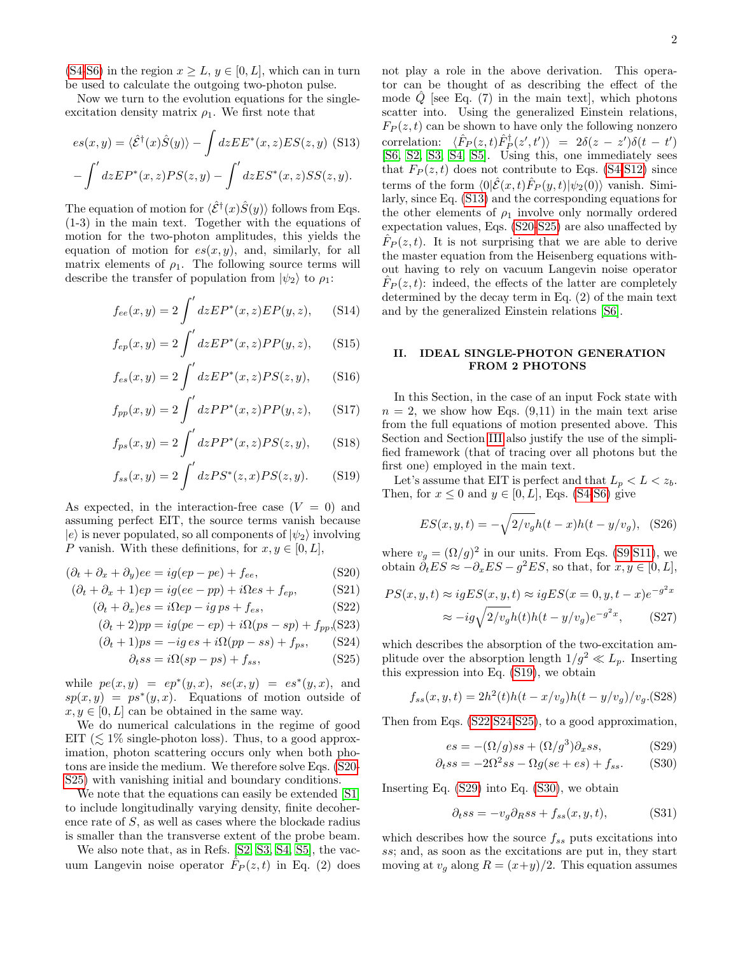[\(S4-S6\)](#page-0-0) in the region  $x \geq L$ ,  $y \in [0, L]$ , which can in turn be used to calculate the outgoing two-photon pulse.

Now we turn to the evolution equations for the singleexcitation density matrix  $\rho_1$ . We first note that

<span id="page-1-1"></span>
$$
es(x,y) = \langle \hat{\mathcal{E}}^{\dagger}(x)\hat{S}(y)\rangle - \int dz E E^*(x,z) E S(z,y)
$$
 (S13)  
-
$$
\int' dz E P^*(x,z) P S(z,y) - \int' dz E S^*(x,z) S S(z,y).
$$

The equation of motion for  $\langle \hat{\mathcal{E}}^{\dagger}(x) \hat{S}(y) \rangle$  follows from Eqs. (1-3) in the main text. Together with the equations of motion for the two-photon amplitudes, this yields the equation of motion for  $es(x, y)$ , and, similarly, for all matrix elements of  $\rho_1$ . The following source terms will describe the transfer of population from  $|\psi_2\rangle$  to  $\rho_1$ :

<span id="page-1-2"></span>
$$
f_{ee}(x,y) = 2 \int' dz E P^*(x,z) E P(y,z), \quad (S14)
$$

$$
f_{ep}(x,y) = 2 \int' dz E P^{*}(x,z) P P(y,z), \quad (S15)
$$

$$
f_{es}(x,y) = 2 \int' dz E P^*(x,z) PS(z,y), \quad (S16)
$$

$$
f_{pp}(x,y) = 2 \int' dz P P^*(x,z) P P(y,z), \quad (S17)
$$

$$
f_{ps}(x,y) = 2 \int' dzPP^*(x,z)PS(z,y), \quad (S18)
$$

$$
f_{ss}(x,y) = 2 \int' dz PS^*(z,x) PS(z,y).
$$
 (S19)

As expected, in the interaction-free case  $(V = 0)$  and assuming perfect EIT, the source terms vanish because  $|e\rangle$  is never populated, so all components of  $|\psi_2\rangle$  involving P vanish. With these definitions, for  $x, y \in [0, L]$ ,

<span id="page-1-0"></span>
$$
(\partial_t + \partial_x + \partial_y)ee = ig(ep - pe) + f_{ee},
$$
 (S20)

$$
(\partial_t + \partial_x + 1)ep = ig(ee - pp) + i\Omega es + f_{ep},
$$
 (S21)

$$
(\partial_t + \partial_x)es = i\Omega ep - ig\,ps + f_{es},\tag{S22}
$$

$$
(\partial_t + 2)pp = ig(pe - ep) + i\Omega(ps - sp) + f_{pp}(S23)
$$

$$
(\partial_t + 1)ps = -ig\,es + i\Omega(pp - ss) + f_{ps},\qquad(S24)
$$

$$
\partial_t s s = i\Omega(s p - p s) + f_{ss},\tag{S25}
$$

while  $pe(x, y) = ep^*(y, x), se(x, y) = es^*(y, x),$  and  $sp(x, y) = ps^{*}(y, x)$ . Equations of motion outside of  $x, y \in [0, L]$  can be obtained in the same way.

We do numerical calculations in the regime of good EIT ( $\lesssim 1\%$  single-photon loss). Thus, to a good approximation, photon scattering occurs only when both photons are inside the medium. We therefore solve Eqs. [\(S20-](#page-1-0) [S25\)](#page-1-0) with vanishing initial and boundary conditions.

We note that the equations can easily be extended [\[S1\]](#page-4-0) to include longitudinally varying density, finite decoherence rate of  $S$ , as well as cases where the blockade radius is smaller than the transverse extent of the probe beam.

We also note that, as in Refs. [\[S2,](#page-4-1) [S3,](#page-4-2) [S4,](#page-4-3) [S5\]](#page-4-4), the vacuum Langevin noise operator  $\hat{F}_P(z,t)$  in Eq. (2) does

not play a role in the above derivation. This operator can be thought of as describing the effect of the mode  $\hat{Q}$  [see Eq. (7) in the main text], which photons scatter into. Using the generalized Einstein relations,  $F_P(z, t)$  can be shown to have only the following nonzero correlation:  $\langle \hat{F}_P(z,t)\hat{F}^{\dagger}_P(z',t') \rangle = 2\delta(z-z')\delta(t-t')$ [\[S6,](#page-4-5) [S2,](#page-4-1) [S3,](#page-4-2) [S4,](#page-4-3) [S5\]](#page-4-4). Using this, one immediately sees that  $F_P(z, t)$  does not contribute to Eqs. [\(S4-](#page-0-0)[S12\)](#page-0-1) since terms of the form  $\langle 0|\hat{\mathcal{E}}(x,t)\hat{F}_P(y,t)|\psi_2(0)\rangle$  vanish. Similarly, since Eq. [\(S13\)](#page-1-1) and the corresponding equations for the other elements of  $\rho_1$  involve only normally ordered expectation values, Eqs. [\(S20-S25\)](#page-1-0) are also unaffected by  $\hat{F}_P(z,t)$ . It is not surprising that we are able to derive the master equation from the Heisenberg equations without having to rely on vacuum Langevin noise operator  $\hat{F}_P(z,t)$ : indeed, the effects of the latter are completely determined by the decay term in Eq. (2) of the main text and by the generalized Einstein relations [\[S6\]](#page-4-5).

### <span id="page-1-4"></span>II. IDEAL SINGLE-PHOTON GENERATION FROM 2 PHOTONS

In this Section, in the case of an input Fock state with  $n = 2$ , we show how Eqs. (9,11) in the main text arise from the full equations of motion presented above. This Section and Section [III](#page-2-0) also justify the use of the simplified framework (that of tracing over all photons but the first one) employed in the main text.

Let's assume that EIT is perfect and that  $L_p < L < z_b$ . Then, for  $x \leq 0$  and  $y \in [0, L]$ , Eqs. [\(S4-S6\)](#page-0-0) give

$$
ES(x, y, t) = -\sqrt{2/v_g}h(t - x)h(t - y/v_g),
$$
 (S26)

where  $v_g = (\Omega/g)^2$  in our units. From Eqs. [\(S9,S11\)](#page-0-1), we obtain  $\partial_t ES \approx -\partial_x ES - g^2 ES$ , so that, for  $x, y \in [0, L]$ ,

<span id="page-1-5"></span>
$$
PS(x, y, t) \approx igES(x, y, t) \approx igES(x = 0, y, t - x)e^{-g^2x}
$$

$$
\approx -ig\sqrt{2/v_g}h(t)h(t - y/v_g)e^{-g^2x},
$$
(S27)

which describes the absorption of the two-excitation amplitude over the absorption length  $1/g^2 \ll L_p$ . Inserting this expression into Eq. [\(S19\)](#page-1-2), we obtain

<span id="page-1-6"></span>
$$
f_{ss}(x, y, t) = 2h^2(t)h(t - x/v_g)h(t - y/v_g)/v_g.(S28)
$$

Then from Eqs. [\(S22,S24,S25\)](#page-1-0), to a good approximation,

<span id="page-1-3"></span>
$$
es = -(\Omega/g)s + (\Omega/g^3)\partial_x ss,\tag{S29}
$$

$$
\partial_t ss = -2\Omega^2 ss - \Omega g(se + es) + f_{ss}.
$$
 (S30)

Inserting Eq. [\(S29\)](#page-1-3) into Eq. [\(S30\)](#page-1-3), we obtain

<span id="page-1-7"></span>
$$
\partial_t ss = -v_g \partial_R ss + f_{ss}(x, y, t), \tag{S31}
$$

which describes how the source  $f_{ss}$  puts excitations into ss; and, as soon as the excitations are put in, they start moving at  $v_q$  along  $R = (x+y)/2$ . This equation assumes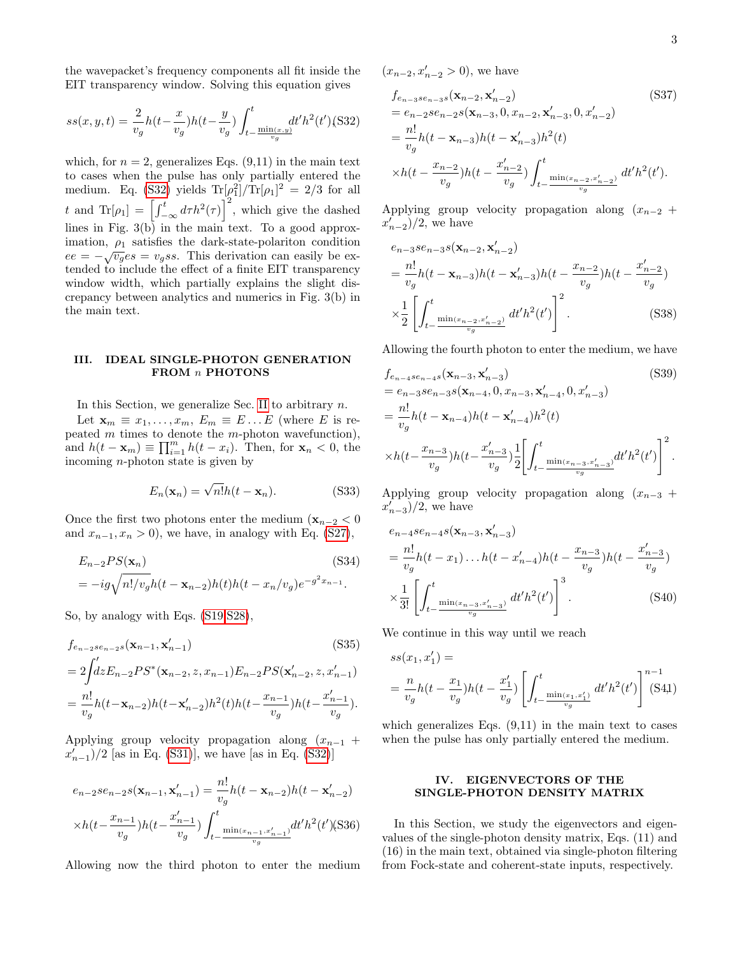the wavepacket's frequency components all fit inside the EIT transparency window. Solving this equation gives

<span id="page-2-1"></span>
$$
ss(x, y, t) = \frac{2}{v_g}h(t - \frac{x}{v_g})h(t - \frac{y}{v_g})\int_{t - \frac{\min(x, y)}{v_g}}^{t} dt'h^2(t')
$$
(S32)

which, for  $n = 2$ , generalizes Eqs. (9,11) in the main text to cases when the pulse has only partially entered the medium. Eq. [\(S32\)](#page-2-1) yields  $\text{Tr}[\rho_1^2]/\text{Tr}[\rho_1]^2 = 2/3$  for all t and  $\text{Tr}[\rho_1] = \left[\int_{-\infty}^t d\tau h^2(\tau)\right]^2$ , which give the dashed lines in Fig.  $3(b)$  in the main text. To a good approximation,  $\rho_1$  satisfies the dark-state-polariton condition  $ee = -\sqrt{v_g}es = v_gss$ . This derivation can easily be extended to include the effect of a finite EIT transparency window width, which partially explains the slight discrepancy between analytics and numerics in Fig. 3(b) in the main text.

### <span id="page-2-0"></span>III. IDEAL SINGLE-PHOTON GENERATION FROM  $n$  PHOTONS

In this Section, we generalize Sec. [II](#page-1-4) to arbitrary  $n$ .

Let  $\mathbf{x}_m \equiv x_1, \ldots, x_m, E_m \equiv E \ldots E$  (where E is repeated  $m$  times to denote the  $m$ -photon wavefunction), and  $h(t - \mathbf{x}_m) \equiv \prod_{i=1}^m h(t - x_i)$ . Then, for  $\mathbf{x}_n < 0$ , the incoming n-photon state is given by

$$
E_n(\mathbf{x}_n) = \sqrt{n!}h(t - \mathbf{x}_n). \tag{S33}
$$

Once the first two photons enter the medium  $(\mathbf{x}_{n-2} < 0)$ and  $x_{n-1}, x_n > 0$ , we have, in analogy with Eq. [\(S27\)](#page-1-5),

$$
E_{n-2}PS(\mathbf{x}_n)
$$
\n
$$
= -ig\sqrt{n!/v_g}h(t - \mathbf{x}_{n-2})h(t)h(t - x_n/v_g)e^{-g^2x_{n-1}}.
$$
\n(S34)

So, by analogy with Eqs. [\(S19](#page-1-2)[,S28\)](#page-1-6),

$$
f_{e_{n-2}se_{n-2}s}(\mathbf{x}_{n-1}, \mathbf{x}'_{n-1})
$$
(S35)  
=  $2 \int_{0}^{t} dz E_{n-2} PS^*(\mathbf{x}_{n-2}, z, x_{n-1}) E_{n-2} PS(\mathbf{x}'_{n-2}, z, x'_{n-1})$   
=  $\frac{n!}{v_g} h(t - \mathbf{x}_{n-2}) h(t - \mathbf{x}'_{n-2}) h^2(t) h(t - \frac{x_{n-1}}{v_g}) h(t - \frac{x'_{n-1}}{v_g}).$ 

Applying group velocity propagation along  $(x_{n-1} +$  $(x'_{n-1})/2$  [as in Eq. [\(S31\)](#page-1-7)], we have [as in Eq. [\(S32\)](#page-2-1)]

$$
e_{n-2}se_{n-2}s(\mathbf{x}_{n-1}, \mathbf{x}'_{n-1}) = \frac{n!}{v_g}h(t - \mathbf{x}_{n-2})h(t - \mathbf{x}'_{n-2})
$$

$$
\times h(t - \frac{x_{n-1}}{v_g})h(t - \frac{x'_{n-1}}{v_g})\int_{t - \frac{\min(x_{n-1}, x'_{n-1})}{v_g}}^{t}dt'h^2(t') \text{(S36)}
$$

Allowing now the third photon to enter the medium

 $(x_{n-2}, x'_{n-2} > 0)$ , we have

$$
f_{e_{n-3}se_{n-3}s}(\mathbf{x}_{n-2}, \mathbf{x}'_{n-2})
$$
(S37)  
=  $e_{n-2}se_{n-2}s(\mathbf{x}_{n-3}, 0, x_{n-2}, \mathbf{x}'_{n-3}, 0, x'_{n-2})$   
=  $\frac{n!}{v_g}h(t - \mathbf{x}_{n-3})h(t - \mathbf{x}'_{n-3})h^2(t)$   

$$
\times h(t - \frac{x_{n-2}}{v_g})h(t - \frac{x'_{n-2}}{v_g})\int_{t - \frac{\min(x_{n-2}, x'_{n-2})}{v_g}}^{t} dt'h^2(t').
$$

Applying group velocity propagation along  $(x_{n-2} +$  $x'_{n-2}$ /2, we have

$$
e_{n-3}se_{n-3}s(\mathbf{x}_{n-2}, \mathbf{x}'_{n-2})
$$
  
=  $\frac{n!}{v_g}h(t - \mathbf{x}_{n-3})h(t - \mathbf{x}'_{n-3})h(t - \frac{x_{n-2}}{v_g})h(t - \frac{x'_{n-2}}{v_g})$   

$$
\times \frac{1}{2} \left[ \int_{t - \frac{\min(x_{n-2}, x'_{n-2})}{v_g}}^{t} dt'h^2(t') \right]^2.
$$
 (S38)

Allowing the fourth photon to enter the medium, we have

$$
f_{e_{n-4}se_{n-4}s}(\mathbf{x}_{n-3}, \mathbf{x}'_{n-3})
$$
(S39)  
=  $e_{n-3}se_{n-3}s(\mathbf{x}_{n-4}, 0, x_{n-3}, \mathbf{x}'_{n-4}, 0, x'_{n-3})$   
=  $\frac{n!}{v_g}h(t - \mathbf{x}_{n-4})h(t - \mathbf{x}'_{n-4})h^2(t)$   

$$
\times h(t - \frac{x_{n-3}}{v_g})h(t - \frac{x'_{n-3}}{v_g})\frac{1}{2}\left[\int_{t - \frac{\min(x_{n-3}, x'_{n-3})}{v_g}}^{t}dt'h^2(t')\right]^2.
$$

Applying group velocity propagation along  $(x_{n-3} +$  $\left(x'_{n-3}\right)/2$ , we have

$$
e_{n-4}se_{n-4}s(\mathbf{x}_{n-3}, \mathbf{x}'_{n-3})
$$
  
=  $\frac{n!}{v_g}h(t-x_1)...h(t-x'_{n-4})h(t-\frac{x_{n-3}}{v_g})h(t-\frac{x'_{n-3}}{v_g})$   
 $\times \frac{1}{3!} \left[ \int_{t-\frac{\min(x_{n-3}, x'_{n-3})}{v_g}}^{t} dt'h^2(t') \right]^3.$  (S40)

We continue in this way until we reach

$$
ss(x_1, x'_1) =
$$
  
=  $\frac{n}{v_g} h(t - \frac{x_1}{v_g}) h(t - \frac{x'_1}{v_g}) \left[ \int_{t - \frac{\min(x_1, x'_1)}{v_g}}^{t} dt' h^2(t') \right]^{n-1}$  (S41)

which generalizes Eqs.  $(9,11)$  in the main text to cases when the pulse has only partially entered the medium.

# IV. EIGENVECTORS OF THE SINGLE-PHOTON DENSITY MATRIX

In this Section, we study the eigenvectors and eigenvalues of the single-photon density matrix, Eqs. (11) and (16) in the main text, obtained via single-photon filtering from Fock-state and coherent-state inputs, respectively.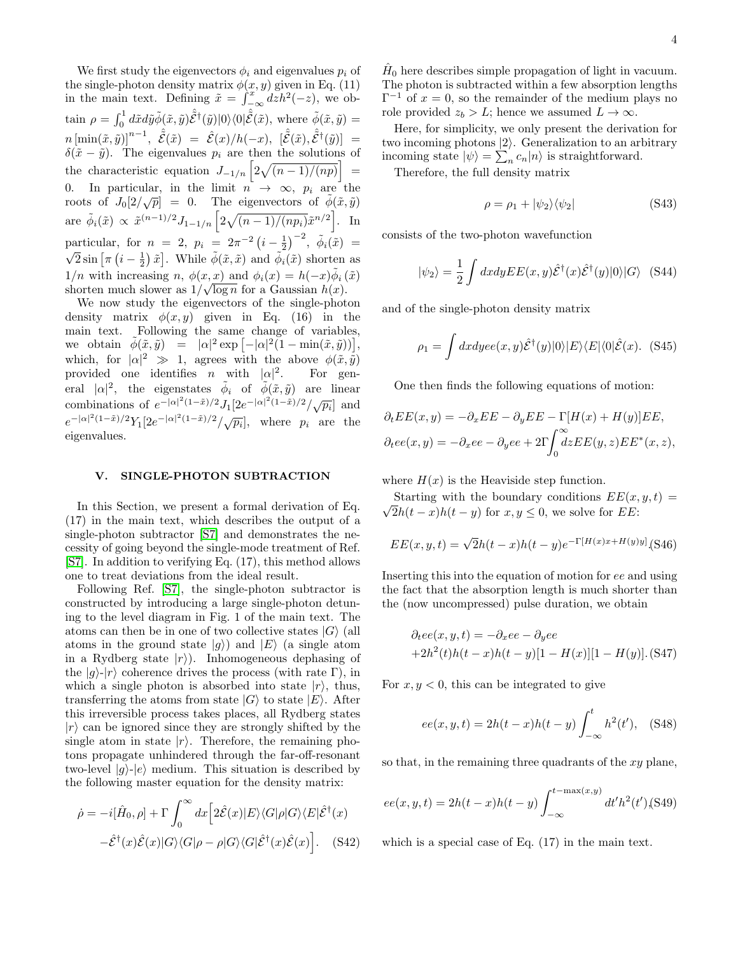We first study the eigenvectors  $\phi_i$  and eigenvalues  $p_i$  of the single-photon density matrix  $\phi(x, y)$  given in Eq. (11) in the main text. Defining  $\tilde{x} = \int_{-\infty}^{x} dz h^2(-z)$ , we obtain  $\rho = \int_0^1 d\tilde{x} d\tilde{y} \tilde{\phi}(\tilde{x}, \tilde{y}) \hat{\tilde{\mathcal{E}}}^{\dagger}(\tilde{y}) |0\rangle\langle0|\hat{\tilde{\mathcal{E}}}(\tilde{x}), \text{ where } \tilde{\phi}(\tilde{x}, \tilde{y}) =$  $n\, [\min(\tilde{x},\tilde{y})]^{n-1}, \,\,\, \hat{\tilde{\mathcal{E}}}(\tilde{x}) \,\, = \,\,\, \hat{\mathcal{E}}(x)/h(-x), \,\,\, [\hat{\tilde{\mathcal{E}}}(\tilde{x}),\hat{\tilde{\mathcal{E}}}^{\dagger}(\tilde{y})] \,\,\, = \,\,$  $\delta(\tilde{x} - \tilde{y})$ . The eigenvalues  $p_i$  are then the solutions of the characteristic equation  $J_{-1/n} \left[2\sqrt{(n-1)/(np)}\right]$  = 0. In particular, in the limit  $n \rightarrow \infty$ ,  $p_i$  are the roots of  $J_0[2/\sqrt{p}] = 0$ . The eigenvectors of  $\phi(\tilde{x}, \tilde{y})$ are  $\tilde{\phi}_i(\tilde{x}) \propto \tilde{x}^{(n-1)/2} J_{1-1/n} \left[ 2\sqrt{(n-1)/(np_i)} \tilde{x}^{n/2} \right]$ . In particular, for  $n = 2$ ,  $p_i = 2\pi^{-2} (i - \frac{1}{2})^{-2}$ ,  $\phi_i(\tilde{x}) =$  $\overline{2}\sin\left[\pi\left(i-\frac{1}{2}\right)\tilde{x}\right]$ . While  $\tilde{\phi}(\tilde{x},\tilde{x})$  and  $\tilde{\phi}_i(\tilde{x})$  shorten as  $1/n$  with increasing n,  $\phi(x, x)$  and  $\phi_i(x) = h(-x)\tilde{\phi}_i(\tilde{x})$ shorten much slower as  $1/\sqrt{\log n}$  for a Gaussian  $h(x)$ .

We now study the eigenvectors of the single-photon density matrix  $\phi(x, y)$  given in Eq. (16) in the main text. Following the same change of variables, we obtain  $\tilde{\phi}(\tilde{x}, \tilde{y}) = |\alpha|^2 \exp[-|\alpha|^2(1 - \min(\tilde{x}, \tilde{y}))],$ which, for  $|\alpha|^2 \gg 1$ , agrees with the above  $\phi(\tilde{x}, \tilde{y})$ provided one identifies *n* with  $|\alpha|^2$ . For general  $|\alpha|^2$ , the eigenstates  $\tilde{\phi}_i$  of  $\tilde{\phi}(\tilde{x}, \tilde{y})$  are linear combinations of  $e^{-|\alpha|^2(1-\tilde{x})/2}J_1[2e^{-|\alpha|^2(1-\tilde{x})/2}/\sqrt{p_i}]$  and  $e^{-|\alpha|^2(1-\tilde{x})/2}Y_1[2e^{-|\alpha|^2(1-\tilde{x})/2}/\sqrt{p_i}],$  where  $p_i$  are the eigenvalues.

#### V. SINGLE-PHOTON SUBTRACTION

In this Section, we present a formal derivation of Eq. (17) in the main text, which describes the output of a single-photon subtractor [\[S7\]](#page-4-6) and demonstrates the necessity of going beyond the single-mode treatment of Ref. [\[S7\]](#page-4-6). In addition to verifying Eq. (17), this method allows one to treat deviations from the ideal result.

Following Ref. [\[S7\]](#page-4-6), the single-photon subtractor is constructed by introducing a large single-photon detuning to the level diagram in Fig. 1 of the main text. The atoms can then be in one of two collective states  $|G\rangle$  (all atoms in the ground state  $|q\rangle$  and  $|E\rangle$  (a single atom in a Rydberg state  $|r\rangle$ ). Inhomogeneous dephasing of the  $|g\rangle$ - $|r\rangle$  coherence drives the process (with rate Γ), in which a single photon is absorbed into state  $|r\rangle$ , thus, transferring the atoms from state  $|G\rangle$  to state  $|E\rangle$ . After this irreversible process takes places, all Rydberg states  $|r\rangle$  can be ignored since they are strongly shifted by the single atom in state  $|r\rangle$ . Therefore, the remaining photons propagate unhindered through the far-off-resonant two-level  $|g\rangle$ - $|e\rangle$  medium. This situation is described by the following master equation for the density matrix:

$$
\dot{\rho} = -i[\hat{H}_0, \rho] + \Gamma \int_0^{\infty} dx \Big[ 2\hat{\mathcal{E}}(x)|E\rangle \langle G|\rho|G\rangle \langle E|\hat{\mathcal{E}}^{\dagger}(x) -\hat{\mathcal{E}}^{\dagger}(x)\hat{\mathcal{E}}(x)|G\rangle \langle G|\rho - \rho|G\rangle \langle G|\hat{\mathcal{E}}^{\dagger}(x)\hat{\mathcal{E}}(x)\Big].
$$
 (S42)

 $\hat{H}_0$  here describes simple propagation of light in vacuum. The photon is subtracted within a few absorption lengths  $\Gamma^{-1}$  of  $x = 0$ , so the remainder of the medium plays no role provided  $z_b > L$ ; hence we assumed  $L \to \infty$ .

Here, for simplicity, we only present the derivation for two incoming photons  $|2\rangle$ . Generalization to an arbitrary incoming state  $|\psi\rangle = \sum_n c_n |n\rangle$  is straightforward.

Therefore, the full density matrix

$$
\rho = \rho_1 + |\psi_2\rangle\langle\psi_2| \tag{S43}
$$

consists of the two-photon wavefunction

$$
|\psi_2\rangle = \frac{1}{2} \int dx dy E E(x, y) \hat{\mathcal{E}}^{\dagger}(x) \hat{\mathcal{E}}^{\dagger}(y) |0\rangle |G\rangle \quad (S44)
$$

and of the single-photon density matrix

$$
\rho_1 = \int dx dy ee(x, y)\hat{\mathcal{E}}^{\dagger}(y)|0\rangle|E\rangle\langle E|\langle 0|\hat{\mathcal{E}}(x). \tag{S45}
$$

One then finds the following equations of motion:

$$
\partial_t E E(x, y) = -\partial_x E E - \partial_y E E - \Gamma[H(x) + H(y)] E E,
$$
  

$$
\partial_t e e(x, y) = -\partial_x e e - \partial_y e e + 2\Gamma \int_0^\infty dz E E(y, z) E E^*(x, z),
$$

where  $H(x)$  is the Heaviside step function.

Starting with the boundary conditions  $EE(x, y, t) =$ √  $2h(t-x)h(t-y)$  for  $x, y \leq 0$ , we solve for EE:

$$
EE(x, y, t) = \sqrt{2h(t - x)h(t - y)e^{-\Gamma[H(x)x + H(y)y]}}
$$
(S46)

Inserting this into the equation of motion for ee and using the fact that the absorption length is much shorter than the (now uncompressed) pulse duration, we obtain

$$
\partial_t ee(x, y, t) = -\partial_x ee - \partial_y ee
$$
  
+2h<sup>2</sup>(t)h(t - x)h(t - y)[1 - H(x)][1 - H(y)]. (S47)

For  $x, y < 0$ , this can be integrated to give

$$
ee(x, y, t) = 2h(t - x)h(t - y)\int_{-\infty}^{t} h^{2}(t'), \quad \text{(S48)}
$$

so that, in the remaining three quadrants of the  $xy$  plane,

$$
ee(x, y, t) = 2h(t - x)h(t - y)\int_{-\infty}^{t - \max(x, y)} dt'h^{2}(t')(S49)
$$

which is a special case of Eq. (17) in the main text.